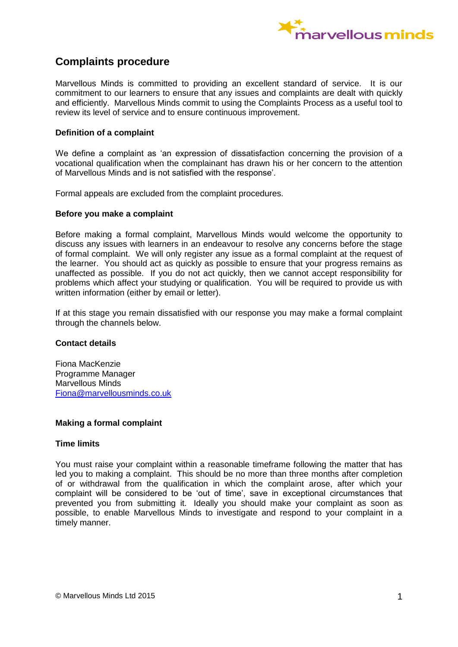

# **Complaints procedure**

Marvellous Minds is committed to providing an excellent standard of service. It is our commitment to our learners to ensure that any issues and complaints are dealt with quickly and efficiently. Marvellous Minds commit to using the Complaints Process as a useful tool to review its level of service and to ensure continuous improvement.

## **Definition of a complaint**

We define a complaint as 'an expression of dissatisfaction concerning the provision of a vocational qualification when the complainant has drawn his or her concern to the attention of Marvellous Minds and is not satisfied with the response'.

Formal appeals are excluded from the complaint procedures.

#### **Before you make a complaint**

Before making a formal complaint, Marvellous Minds would welcome the opportunity to discuss any issues with learners in an endeavour to resolve any concerns before the stage of formal complaint. We will only register any issue as a formal complaint at the request of the learner. You should act as quickly as possible to ensure that your progress remains as unaffected as possible. If you do not act quickly, then we cannot accept responsibility for problems which affect your studying or qualification. You will be required to provide us with written information (either by email or letter).

If at this stage you remain dissatisfied with our response you may make a formal complaint through the channels below.

#### **Contact details**

Fiona MacKenzie Programme Manager Marvellous Minds [Fiona@marvellousminds.co.uk](mailto:Fiona@marvellousminds.co.uk)

#### **Making a formal complaint**

## **Time limits**

You must raise your complaint within a reasonable timeframe following the matter that has led you to making a complaint. This should be no more than three months after completion of or withdrawal from the qualification in which the complaint arose, after which your complaint will be considered to be 'out of time', save in exceptional circumstances that prevented you from submitting it. Ideally you should make your complaint as soon as possible, to enable Marvellous Minds to investigate and respond to your complaint in a timely manner.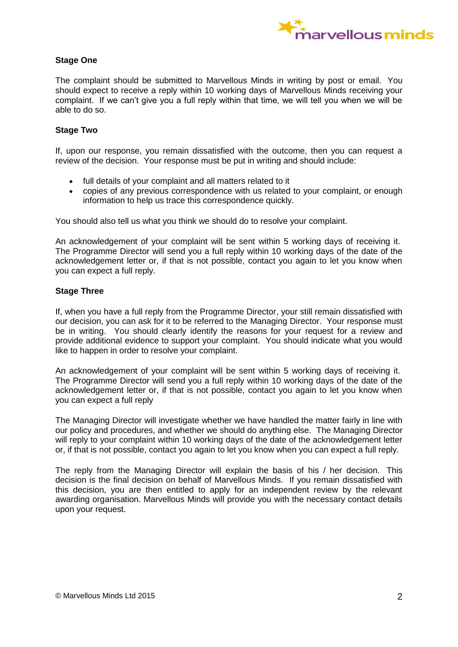

# **Stage One**

The complaint should be submitted to Marvellous Minds in writing by post or email. You should expect to receive a reply within 10 working days of Marvellous Minds receiving your complaint. If we can't give you a full reply within that time, we will tell you when we will be able to do so.

# **Stage Two**

If, upon our response, you remain dissatisfied with the outcome, then you can request a review of the decision. Your response must be put in writing and should include:

- full details of your complaint and all matters related to it
- copies of any previous correspondence with us related to your complaint, or enough information to help us trace this correspondence quickly.

You should also tell us what you think we should do to resolve your complaint.

An acknowledgement of your complaint will be sent within 5 working days of receiving it. The Programme Director will send you a full reply within 10 working days of the date of the acknowledgement letter or, if that is not possible, contact you again to let you know when you can expect a full reply.

## **Stage Three**

If, when you have a full reply from the Programme Director, your still remain dissatisfied with our decision, you can ask for it to be referred to the Managing Director. Your response must be in writing. You should clearly identify the reasons for your request for a review and provide additional evidence to support your complaint. You should indicate what you would like to happen in order to resolve your complaint.

An acknowledgement of your complaint will be sent within 5 working days of receiving it. The Programme Director will send you a full reply within 10 working days of the date of the acknowledgement letter or, if that is not possible, contact you again to let you know when you can expect a full reply

The Managing Director will investigate whether we have handled the matter fairly in line with our policy and procedures, and whether we should do anything else. The Managing Director will reply to your complaint within 10 working days of the date of the acknowledgement letter or, if that is not possible, contact you again to let you know when you can expect a full reply.

The reply from the Managing Director will explain the basis of his / her decision. This decision is the final decision on behalf of Marvellous Minds. If you remain dissatisfied with this decision, you are then entitled to apply for an independent review by the relevant awarding organisation. Marvellous Minds will provide you with the necessary contact details upon your request.